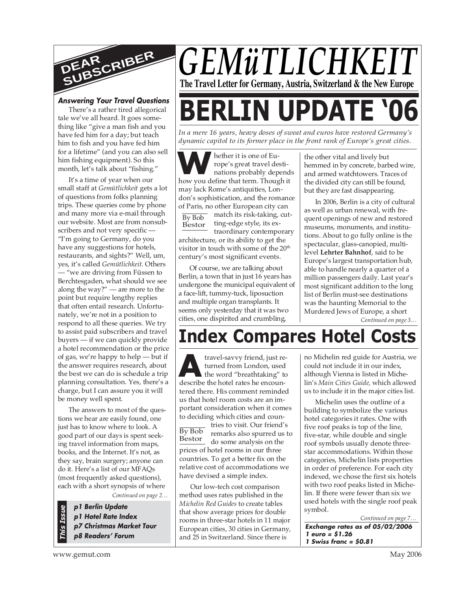

#### **Answering Your Travel Questions**

There's a rather tired allegorical tale we've all heard. It goes something like "give a man fish and you have fed him for a day; but teach him to fish and you have fed him for a lifetime" (and you can also sell him fishing equipment). So this month, let's talk about "fishing."

It's a time of year when our small staff at *Gemütlichkeit* gets a lot of questions from folks planning trips. These queries come by phone and many more via e-mail through our website. Most are from nonsubscribers and not very specific — "I'm going to Germany, do you have any suggestions for hotels, restaurants, and sights?" Well, um, yes, it's called *Gemütlichkeit*. Others — "we are driving from Füssen to Berchtesgaden, what should we see along the way?" — are more to the point but require lengthy replies that often entail research. Unfortunately, we're not in a position to respond to all these queries. We try to assist paid subscribers and travel buyers — if we can quickly provide a hotel recommendation or the price of gas, we're happy to help — but if the answer requires research, about the best we can do is schedule a trip planning consultation. Yes, there's a charge, but I can assure you it will be money well spent.

The answers to most of the questions we hear are easily found, one just has to know where to look. A good part of our days is spent seeking travel information from maps, books, and the Internet. It's not, as they say, brain surgery; anyone can do it. Here's a list of our MFAQs (most frequently asked questions), each with a short synopsis of where

*Continued on page 2…*

**p1 Berlin Update p1 Hotel Rate Index p7 Christmas Market Tour p8 Readers' Forum**



*In a mere 16 years, heavy doses of sweat and euros have restored Germany's dynamic capitol to its former place in the front rank of Europe's great cities.*

**WA**hether it is one of Europe's great travel destinations probably depend<br>how you define that term. Though it hether it is one of Europe's great travel destinations probably depends may lack Rome's antiquities, London's sophistication, and the romance of Paris, no other European city can

By Bob Bestor match its risk-taking, cutting-edge style, its extraordinary contemporary architecture, or its ability to get the visitor in touch with some of the 20<sup>th</sup> century's most significant events.

Of course, we are talking about Berlin, a town that in just 16 years has undergone the municipal equivalent of a face-lift, tummy-tuck, liposuction and multiple organ transplants. It seems only yesterday that it was two cities, one dispirited and crumbling,

the other vital and lively but hemmed in by concrete, barbed wire, and armed watchtowers. Traces of the divided city can still be found, but they are fast disappearing.

In 2006, Berlin is a city of cultural as well as urban renewal, with frequent openings of new and restored museums, monuments, and institutions. About to go fully online is the spectacular, glass-canopied, multilevel **Lehrter Bahnhof**, said to be Europe's largest transportation hub, able to handle nearly a quarter of a million passengers daily. Last year's most significant addition to the long list of Berlin must-see destinations was the haunting Memorial to the Murdered Jews of Europe, a short

*Continued on page 3…*

# **Index Compares Hotel Costs**

travel-savvy friend, just re<br>turned from London, used<br>the word "breathtaking" to<br>describe the hotel rates he encoun-By Bob Bestor travel-savvy friend, just returned from London, used the word "breathtaking" to tered there. His comment reminded us that hotel room costs are an important consideration when it comes to deciding which cities and countries to visit. Our friend's remarks also spurred us to do some analysis on the prices of hotel rooms in our three

countries. To get a better fix on the relative cost of accommodations we have devised a simple index.

**P I Berlin Update**<br> **P I Hotel Rate Index**<br> **P 7 Christmas Market Tour**<br> **P 7 Christmas Market Tour**<br> **P 7 Christmas Market Tour**<br> **P 8 Readers' Forum**<br> **P 8 Readers' Forum**<br> **EXECUTE:** The State Index<br> **EXECUTE:** The Sta Our low-tech cost comparison method uses rates published in the *Michelin Red Guides* to create tables that show average prices for double rooms in three-star hotels in 11 major European cities, 30 cities in Germany, and 25 in Switzerland. Since there is

no Michelin red guide for Austria, we could not include it in our index, although Vienna is listed in Michelin's *Main Cities Guide,* which allowed us to include it in the major cities list.

Michelin uses the outline of a building to symbolize the various hotel categories it rates. One with five roof peaks is top of the line, five-star, while double and single roof symbols usually denote threestar accommodations. Within those categories, Michelin lists properties in order of preference. For each city indexed, we chose the first six hotels with two roof peaks listed in Michelin. If there were fewer than six we used hotels with the single roof peak symbol.

*Continued on page 7…*

**Exchange rates as of 05/02/2006 1 euro = \$1.26 1 Swiss franc = \$0.81**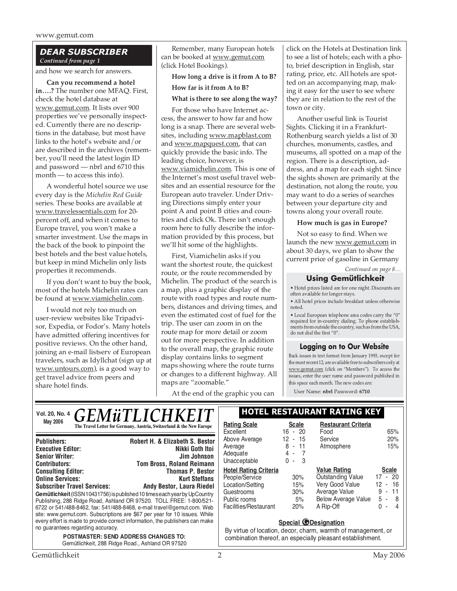#### *DEAR SUBSCRIBER Continued from page 1*

and how we search for answers.

**Can you recommend a hotel in….?** The number one MFAQ. First, check the hotel database at www.gemut.com. It lists over 900 properties we've personally inspected. Currently there are no descriptions in the database, but most have links to the hotel's website and/or are described in the archives (remember, you'll need the latest login ID and password — nbrl and 6710 this month — to access this info).

A wonderful hotel source we use every day is the *Michelin Red Guide* series. These books are available at www.travelessentials.com for 20 percent off, and when it comes to Europe travel, you won't make a smarter investment. Use the maps in the back of the book to pinpoint the best hotels and the best value hotels, but keep in mind Michelin only lists properties it recommends.

If you don't want to buy the book, most of the hotels Michelin rates can be found at www.viamichelin.com.

I would not rely too much on user-review websites like Tripadvisor, Expedia, or Fodor's. Many hotels have admitted offering incentives for positive reviews. On the other hand, joining an e-mail listserv of European travelers, such as Idyllchat (sign up at www.untours.com), is a good way to get travel advice from peers and share hotel finds.

Remember, many European hotels can be booked at www.gemut.com (click Hotel Bookings).

**How long a drive is it from A to B?**

#### **How far is it from A to B?**

#### **What is there to see along the way?**

For those who have Internet access, the answer to how far and how long is a snap. There are several websites, including www.mapblast.com and www.mapquest.com, that can quickly provide the basic info. The leading choice, however, is www.viamichelin.com. This is one of the Internet's most useful travel websites and an essential resource for the European auto traveler. Under Driving Directions simply enter your point A and point B cities and countries and click Ok. There isn't enough room here to fully describe the information provided by this process, but we'll hit some of the highlights.

First, Viamichelin asks if you want the shortest route, the quickest route, or the route recommended by Michelin. The product of the search is a map, plus a graphic display of the route with road types and route numbers, distances and driving times, and even the estimated cost of fuel for the trip. The user can zoom in on the route map for more detail or zoom out for more perspective. In addition to the overall map, the graphic route display contains links to segment maps showing where the route turns or changes to a different highway. All maps are "zoomable."

At the end of the graphic you can

click on the Hotels at Destination link to see a list of hotels; each with a photo, brief description in English, star rating, price, etc. All hotels are spotted on an accompanying map, making it easy for the user to see where they are in relation to the rest of the town or city.

Another useful link is Tourist Sights. Clicking it in a Frankfurt-Rothenburg search yields a list of 30 churches, monuments, castles, and museums, all spotted on a map of the region. There is a description, address, and a map for each sight. Since the sights shown are primarily at the destination, not along the route, you may want to do a series of searches between your departure city and towns along your overall route.

#### **How much is gas in Europe?**

Not so easy to find. When we launch the new www.gemut.com in about 30 days, we plan to show the current price of gasoline in Germany

#### *Continued on page 8…*

# **Using Gemütlichkeit**

• Hotel prices listed are for one night. Discounts are often available for longer stays.

• All hotel prices include breakfast unless otherwise noted.

• Local European telephone area codes carry the "0" required for in-country dialing. To phone establishments from outside the country, such as from the USA, do not dial the first "0".

#### **Logging on to Our Website**

Back issues in text format from January 1993, except for the most recent 12, are available free to subscribers only at www.gemut.com (click on "Members"). To access the issues, enter the user name and password published in this space each month. The new codes are:

User Name: **nbrl** Password: **6710**

| <b>May 2006</b>   | $\frac{N_{\text{O1. 20, No. 4}}}{M_{\text{O1. 2006}}}$ GEM $\ddot{u}$ TLICHKEIT | <b>HOTEL RESTAU</b>              |                    |
|-------------------|---------------------------------------------------------------------------------|----------------------------------|--------------------|
|                   | The Travel Letter for Germany, Austria, Switzerland & the New Europe            | <b>Rating Scale</b><br>Excellent | Scale<br>$16 - 20$ |
| <b>Duhlichare</b> | Robert H & Elizabeth & Rector                                                   | Above Average                    | $\ddagger$         |

| <b>Publishers:</b>                                                                                                                                                                                                                                                                                                                                                                                                           | Robert H. & Elizabeth S. Bestor  |  |  |  |
|------------------------------------------------------------------------------------------------------------------------------------------------------------------------------------------------------------------------------------------------------------------------------------------------------------------------------------------------------------------------------------------------------------------------------|----------------------------------|--|--|--|
| <b>Executive Editor:</b>                                                                                                                                                                                                                                                                                                                                                                                                     | Nikki Goth Itoi                  |  |  |  |
| <b>Senior Writer:</b>                                                                                                                                                                                                                                                                                                                                                                                                        | Jim Johnson                      |  |  |  |
| <b>Contributors:</b>                                                                                                                                                                                                                                                                                                                                                                                                         | <b>Tom Bross, Roland Reimann</b> |  |  |  |
| <b>Consulting Editor:</b>                                                                                                                                                                                                                                                                                                                                                                                                    | <b>Thomas P. Bestor</b>          |  |  |  |
| <b>Online Services:</b>                                                                                                                                                                                                                                                                                                                                                                                                      | <b>Kurt Steffans</b>             |  |  |  |
| <b>Subscriber Travel Services:</b>                                                                                                                                                                                                                                                                                                                                                                                           | Andy Bestor, Laura Riedel        |  |  |  |
| Gemütlichkeit (ISSN 10431756) is published 10 times each year by UpCountry<br>Publishing, 288 Ridge Road, Ashland OR 97520. TOLL FREE: 1-800/521-<br>6722 or 541/488-8462, fax: 541/488-8468, e-mail travel@gemut.com. Web<br>site: www.gemut.com. Subscriptions are \$67 per year for 10 issues. While<br>every effort is made to provide correct information, the publishers can make<br>no guarantees regarding accuracy. |                                  |  |  |  |
| <b>POSTMASTER: SEND ADDRESS CHANGES TO:</b><br>Gemütlichkeit, 288 Ridge Road., Ashland OR 97520                                                                                                                                                                                                                                                                                                                              |                                  |  |  |  |

# **Vol. 20, No. 4 HOTEL RESTAURANT RATING KEY**

| <b>Rating Scale</b><br>Excellent<br>Above Average<br>Average<br>Adequate<br>Unacceptable                                  | Scale<br>$16 - 20$<br>12 - 15<br>8 - 11<br>$4 -$<br>$\overline{7}$<br>3<br>0<br>$\overline{\phantom{a}}$ | <b>Restaurant Criteria</b><br>Food<br>Service<br>Atmosphere                                                                    | 65%<br>20%<br>15%                                                                   |
|---------------------------------------------------------------------------------------------------------------------------|----------------------------------------------------------------------------------------------------------|--------------------------------------------------------------------------------------------------------------------------------|-------------------------------------------------------------------------------------|
| <b>Hotel Rating Criteria</b><br>People/Service<br>Location/Setting<br>Guestrooms<br>Public rooms<br>Facilities/Restaurant | 30%<br>15%<br>30%<br>5%<br>20%                                                                           | <b>Value Rating</b><br><b>Outstanding Value</b><br>Very Good Value<br>Average Value<br><b>Below Average Value</b><br>A Rip-Off | <b>Scale</b><br>$17 - 20$<br>12 - 16<br>9<br>11<br>ä,<br>5 -<br>-8<br>O.<br>4<br>÷, |

#### **Special @Designation**

By virtue of location, decor, charm, warmth of management, or combination thereof, an especially pleasant establishment.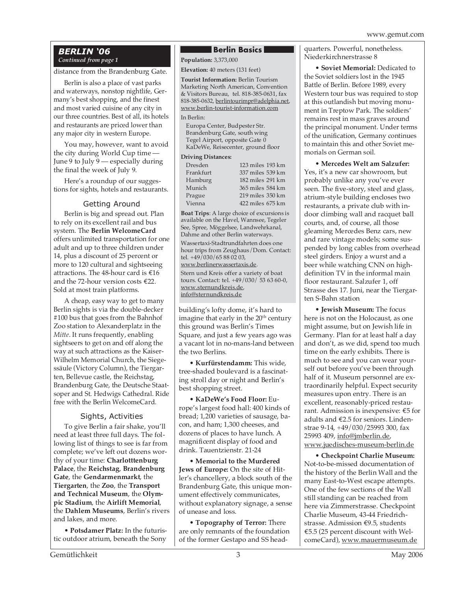### *BERLIN '06 Continued from page 1*

#### distance from the Brandenburg Gate.

Berlin is also a place of vast parks and waterways, nonstop nightlife, Germany's best shopping, and the finest and most varied cuisine of any city in our three countries. Best of all, its hotels and restaurants are priced lower than any major city in western Europe.

You may, however, want to avoid the city during World Cup time — June 9 to July 9 — especially during the final the week of July 9.

Here's a roundup of our suggestions for sights, hotels and restaurants.

#### Getting Around

Berlin is big and spread out. Plan to rely on its excellent rail and bus system. The **Berlin WelcomeCard** offers unlimited transportation for one adult and up to three children under 14, plus a discount of 25 percent or more to 120 cultural and sightseeing attractions. The 48-hour card is €16 and the 72-hour version costs €22. Sold at most train platforms.

A cheap, easy way to get to many Berlin sights is via the double-decker #100 bus that goes from the Bahnhof Zoo station to Alexanderplatz in the *Mitte*. It runs frequently, enabling sightseers to get on and off along the way at such attractions as the Kaiser-Wilhelm Memorial Church, the Siegessäule (Victory Column), the Tiergarten, Bellevue castle, the Reichstag, Brandenburg Gate, the Deutsche Staatsoper and St. Hedwigs Cathedral. Ride free with the Berlin WelcomeCard.

#### Sights, Activities

To give Berlin a fair shake, you'll need at least three full days. The following list of things to see is far from complete; we've left out dozens worthy of your time: **Charlotttenburg Palace**, the **Reichstag**, **Brandenburg Gate**, the **Gendarmenmarkt**, the **Tiergarten**, the **Zoo**, the **Transport and Technical Museum**, the **Olympic Stadium**, the **Airlift Memorial**, the **Dahlem Museums**, Berlin's rivers and lakes, and more.

• **Potsdamer Platz:** In the futuristic outdoor atrium, beneath the Sony

### **Berlin Basics**

**Population: 3,373,000** 

#### **Elevation:** 40 meters (131 feet)

**Tourist Information:** Berlin Tourism Marketing North American, Convention & Visitors Bureau, tel. 818-385-0631, fax 818-385-0632, berlintourimpr@adelphia.net, www.berlin-tourist-information.com

#### In Berlin:

Europa Center, Budpester Str. Brandenburg Gate, south wing Tegel Airport, opposite Gate 0 KaDeWe, Reisecenter, ground floor

#### **Driving Distances:**

| Dresden   | 123 miles 193 km |
|-----------|------------------|
| Frankfurt | 337 miles 539 km |
| Hamburg   | 182 miles 291 km |
| Munich    | 365 miles 584 km |
| Prague    | 219 miles 350 km |
| Vienna    | 422 miles 675 km |

**Boat Trips**: A large choice of excursions is available on the Havel, Wannsee, Tegeler See, Spree, Möggelsee, Landwehrkanal, Dahme and other Berlin waterways.

Wassertaxi-Stadtrundfahrten does one hour trips from Zeughaus/Dom. Contact: tel. +49/030/65 88 02 03, www.berlinerwassertaxis.de. Stern und Kreis offer a variety of boat tours. Contact: tel. +49/030/ 53 63 60-0, www.sternundkreis.de, info@sternundkreis.de

building's lofty dome, it's hard to imagine that early in the 20<sup>th</sup> century this ground was Berlin's Times Square, and just a few years ago was a vacant lot in no-mans-land between the two Berlins.

• **Kurfürstendamm:** This wide, tree-shaded boulevard is a fascinating stroll day or night and Berlin's best shopping street.

• **KaDeWe's Food Floor:** Europe's largest food hall: 400 kinds of bread; 1,200 varieties of sausage, bacon, and ham; 1,300 cheeses, and dozens of places to have lunch. A magnificent display of food and drink. Tauentzienstr. 21-24

• **Memorial to the Murdered Jews of Europe:** On the site of Hitler's chancellery, a block south of the Brandenburg Gate, this unique monument effectively communicates, without explanatory signage, a sense of unease and loss.

• **Topography of Terror:** There are only remnants of the foundation of the former Gestapo and SS headquarters. Powerful, nonetheless. Niederkirchnerstrasse 8

• **Soviet Memorial:** Dedicated to the Soviet soldiers lost in the 1945 Battle of Berlin. Before 1989, every Western tour bus was required to stop at this outlandish but moving monument in Treptow Park. The soldiers' remains rest in mass graves around the principal monument. Under terms of the unification, Germany continues to maintain this and other Soviet memorials on German soil.

• **Mercedes Welt am Salzufer:** Yes, it's a new car showroom, but probably unlike any you've ever seen. The five-story, steel and glass, atrium-style building encloses two restaurants, a private club with indoor climbing wall and racquet ball courts, and, of course, all those gleaming Mercedes Benz cars, new and rare vintage models; some suspended by long cables from overhead steel girders. Enjoy a wurst and a beer while watching CNN on highdefinition TV in the informal main floor restaurant. Salzufer 1, off Strasse des 17. Juni, near the Tiergarten S-Bahn station

• **Jewish Museum:** The focus here is not on the Holocaust, as one might assume, but on Jewish life in Germany. Plan for at least half a day and don't, as we did, spend too much time on the early exhibits. There is much to see and you can wear yourself out before you've been through half of it. Museum personnel are extraordinarily helpful. Expect security measures upon entry. There is an excellent, reasonably-priced restaurant. Admission is inexpensive: €5 for adults and €2.5 for seniors. Lindenstrae 9-14, +49/030/25993 300, fax 25993 409, info@jmberlin.de, www.juedisches-museum-berlin.de

• **Checkpoint Charlie Museum:** Not-to-be-missed documentation of the history of the Berlin Wall and the many East-to-West escape attempts. One of the few sections of the Wall still standing can be reached from here via Zimmerstrasse. Checkpoint Charlie Museum, 43-44 Friedrichstrasse. Admission €9.5, students €5.5 (25 percent discount with WelcomeCard), www.mauermuseum.de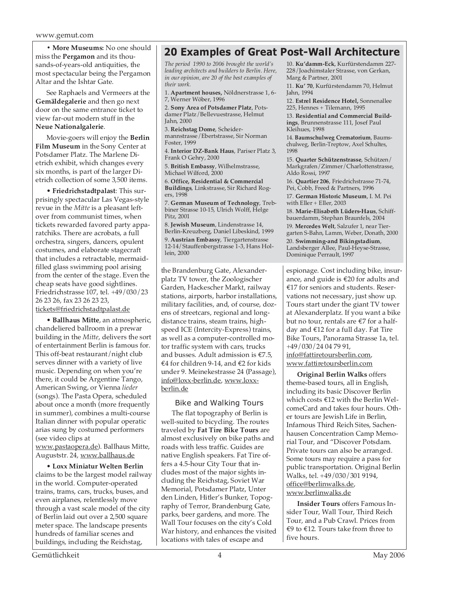**• More Museums:** No one should miss the **Pergamon** and its thousands-of-years-old antiquities, the most spectacular being the Pergamon Altar and the Ishtar Gate.

See Raphaels and Vermeers at the **Gemäldegalerie** and then go next door on the same entrance ticket to view far-out modern stuff in the **Neue Nationalgalerie**.

Movie-goers will enjoy the **Berlin Film Museum** in the Sony Center at Potsdamer Platz. The Marlene Dietrich exhibit, which changes every six months, is part of the larger Dietrich collection of some 3,500 items.

• **Friedrichstadtpalast**: This surprisingly spectacular Las Vegas-style revue in the *Mitte* is a pleasant leftover from communist times, when tickets rewarded favored party apparatchiks. There are acrobats, a full orchestra, singers, dancers, opulent costumes, and elaborate stagecraft that includes a retractable, mermaidfilled glass swimming pool arising from the center of the stage. Even the cheap seats have good sightlines. Friedrichstrasse 107, tel. +49/030/23 26 23 26, fax 23 26 23 23, tickets@friedrichstadtpalast.de

• **Ballhaus Mitte**, an atmospheric, chandeliered ballroom in a prewar building in the *Mitte*, delivers the sort of entertainment Berlin is famous for. This off-beat restaurant/night club serves dinner with a variety of live music. Depending on when you're there, it could be Argentine Tango, American Swing, or Vienna *lieder* (songs). The Pasta Opera, scheduled about once a month (more frequently in summer), combines a multi-course Italian dinner with popular operatic arias sung by costumed performers (see video clips at www.pastaopera.de). Ballhaus Mitte, Auguststr. 24, www.ballhaus.de

• **Loxx Miniatur Welten Berlin** claims to be the largest model railway in the world. Computer-operated trains, trams, cars, trucks, buses, and even airplanes, relentlessly move through a vast scale model of the city of Berlin laid out over a 2,500 square meter space. The landscape presents hundreds of familiar scenes and buildings, including the Reichstag,

# **20 Examples of Great Post-Wall Architecture**

*The period 1990 to 2006 brought the world's leading architects and builders to Berlin. Here, in our opinion, are 20 of the best examples of their work.*

1. **Apartment houses,** Nöldnerstrasse 1, 6- 7, Werner Wöber, 1996

2. **Sony Area of Potsdamer Platz**, Potsdamer Platz/Bellevuestrasse, Helmut Jahn, 2000

3. **Reichstag Dome**, Scheidermannstrasse/Ebertstrasse, Sir Norman Foster, 1999

4. **Interior DZ-Bank Haus**, Pariser Platz 3, Frank O Gehry, 2000

5. **British Embassy**, Wilhelmstrasse, Michael Wilford, 2000

6. **Office, Residential & Commercial Buildings**, Linkstrasse, Sir Richard Rogers, 1998

7. **German Museum of Technology**, Trebbiner Strasse 10-15, Ulrich Wolff, Helge Pitz, 2001

8. **Jewish Museum**, Lindenstrasse 14, Berlin-Kreuzberg, Daniel Libeskind, 1999

9. **Austrian Embassy**, Tiergartenstrasse 12-14/Stauffenbergstrasse 1-3, Hans Hollein, 2000

the Brandenburg Gate, Alexanderplatz TV tower, the Zoologischer Garden, Hackescher Markt, railway stations, airports, harbor installations, military facilities, and, of course, dozens of streetcars, regional and longdistance trains, steam trains, highspeed ICE (Intercity-Express) trains, as well as a computer-controlled motor traffic system with cars, trucks and busses. Adult admission is €7.5, €4 for children 9-14, and €2 for kids under 9. Meinekestrasse 24 (Passage), info@loxx-berlin.de, www.loxxberlin.de

# Bike and Walking Tours

The flat topography of Berlin is well-suited to bicycling. The routes traveled by **Fat Tire Bike Tours** are almost exclusively on bike paths and roads with less traffic. Guides are native English speakers. Fat Tire offers a 4.5-hour City Tour that includes most of the major sights including the Reichstag, Soviet War Memorial, Potsdamer Platz, Unter den Linden, Hitler's Bunker, Topography of Terror, Brandenburg Gate, parks, beer gardens, and more. The Wall Tour focuses on the city's Cold War history, and enhances the visited locations with tales of escape and

10. **Ku'damm-Eck**, Kurfürstendamm 227- 228/Joachimstaler Strasse, von Gerkan, Marg & Partner, 2001

11. **Ku' 70**, Kurfürstendamm 70, Helmut Jahn, 1994

12. **Estrel Residence Hotel,** Sonnenallee 225, Hennes + Tilemann, 1995

13. **Residential and Commercial Buildings**, Brunnenstrasse 111, Josef Paul Kleihues, 1998

14. **Baumschulweg Crematorium**, Baumschulweg, Berlin-Treptow, Axel Schultes, 1998

15. **Quarter Schützenstrasse**, Schützen/ Markgrafen/Zimmer/Charlottenstrasse, Aldo Rossi, 1997

16. **Quartier 206**, Friedrichstrasse 71-74, Pei, Cobb, Freed & Partners, 1996

17. **German Historic Museum**, I. M. Pei with Eller + Eller, 2003

18. **Marie-Elisabeth Lüders-Haus**, Schiffbauerdamm, Stephan Braunfels, 2004

19. **Mercedes Welt**, Salzufer 1, near Tiergarten S-Bahn, Lamm, Weber, Donath, 2000

20. **Swimming-and Bikingstadium**, Landsberger Allee, Paul-Heyse-Strasse, Dominique Perrault, 1997

espionage. Cost including bike, insurance, and guide is €20 for adults and €17 for seniors and students. Reservations not necessary, just show up. Tours start under the giant TV tower at Alexanderplatz. If you want a bike but no tour, rentals are €7 for a halfday and €12 for a full day. Fat Tire Bike Tours, Panorama Strasse 1a, tel. +49/030/24 04 79 91, info@fattiretoursberlin.com, www.fattiretoursberlin.com

**Original Berlin Walks** offers theme-based tours, all in English, including its basic Discover Berlin which costs €12 with the Berlin WelcomeCard and takes four hours. Other tours are Jewish Life in Berlin, Infamous Third Reich Sites, Sachenhausen Concentration Camp Memorial Tour, and "Discover Potsdam. Private tours can also be arranged. Some tours may require a pass for public transportation. Original Berlin Walks, tel. +49/030/301 9194, office@berlinwalks.de, www.berlinwalks.de

**Insider Tours** offers Famous Insider Tour, Wall Tour, Third Reich Tour, and a Pub Crawl. Prices from €9 to €12. Tours take from three to five hours.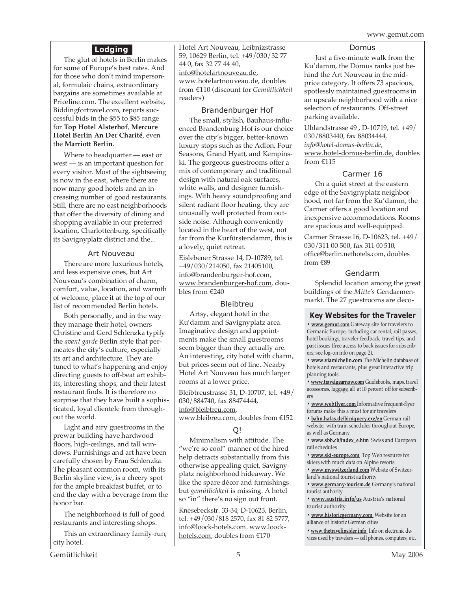# **Lodging**

The glut of hotels in Berlin makes for some of Europe's best rates. And for those who don't mind impersonal, formulaic chains, extraordinary bargains are sometimes available at Priceline.com. The excellent website, Biddingfortravel.com, reports successful bids in the \$55 to \$85 range for **Top Hotel Alsterhof**, **Mercure Hotel Berlin An Der Charité**, even the **Marriott Berlin**.

Where to headquarter — east or west — is an important question for every visitor. Most of the sightseeing is now in the east, where there are now many good hotels and an increasing number of good restaurants. Still, there are no east neighborhoods that offer the diversity of dining and shopping available in our preferred location, Charlottenburg, specifically its Savignyplatz district and the...

# Art Nouveau

There are more luxurious hotels, and less expensive ones, but Art Nouveau's combination of charm, comfort, value, location, and warmth of welcome, place it at the top of our list of recommended Berlin hotels.

Both personally, and in the way they manage their hotel, owners Christine and Gerd Schlenzka typify the *avant garde* Berlin style that permeates the city's culture, especially its art and architecture. They are tuned to what's happening and enjoy directing guests to off-beat art exhibits, interesting shops, and their latest restaurant finds. It is therefore no surprise that they have built a sophisticated, loyal clientele from throughout the world.

Light and airy guestrooms in the prewar building have hardwood floors, high-ceilings, and tall windows. Furnishings and art have been carefully chosen by Frau Schlenzka. The pleasant common room, with its Berlin skyline view, is a cheery spot for the ample breakfast buffet, or to end the day with a beverage from the honor bar.

The neighborhood is full of good restaurants and interesting shops.

This an extraordinary family-run, city hotel.

Hotel Art Nouveau, Leibnizstrasse 59, 10629 Berlin, tel. +49/030/32 77 44 0, fax 32 77 44 40, info@hotelartnouveau.de, www.hotelartnouveau.de, doubles from €110 (discount for *Gemütlichkeit* readers)

# Brandenburger Hof

The small, stylish, Bauhaus-influenced Brandenburg Hof is our choice over the city's bigger, better-known luxury stops such as the Adlon, Four Seasons, Grand Hyatt, and Kempinski. The gorgeous guestrooms offer a mix of contemporary and traditional design with natural oak surfaces, white walls, and designer furnishings. With heavy soundproofing and silent radiant floor heating, they are unusually well protected from outside noise. Although conveniently located in the heart of the west, not far from the Kurfürstendamm, this is a lovely, quiet retreat.

Eislebener Strasse 14, D-10789, tel. +49/030/214050, fax 21405100, info@brandenburger-hof.com, www.brandenburger-hof.com, doubles from €240

# Bleibtreu

Artsy, elegant hotel in the Ku'damm and Savignyplatz area. Imaginative design and appointments make the small guestrooms seem bigger than they actually are. An interesting, city hotel with charm, but prices seem out of line. Nearby Hotel Art Nouveau has much larger rooms at a lower price.

Bleibtreustrasse 31, D-10707, tel. +49/ 030/884740, fax 88474444, info@bleibtreu.com, www.bleibreu.com, doubles from €152

# Q!

Minimalism with attitude. The "we're so cool" manner of the hired help detracts substantially from this otherwise appealing quiet, Savignyplatz neighborhood hideaway. We like the spare décor and furnishings but *gemütlichkeit* is missing. A hotel so "in" there's no sign out front.

Knesebeckstr. 33-34, D-10623, Berlin, tel. +49/030/818 2570, fax 81 82 5777, info@loock-hotels.com. www.loockhotels.com, doubles from €170

#### Domus

Just a five-minute walk from the Ku'damm, the Domus ranks just behind the Art Nouveau in the midprice category. It offers 73 spacious, spotlessly maintained guestrooms in an upscale neighborhood with a nice selection of restaurants. Off-street parking available.

Uhlandstrasse 49 , D-10719, tel. +49/ 030/8803440, fax 88034444, *info@hotel-domus-berlin.de*, www.hotel-domus-berlin.de, doubles from €115

# Carmer 16

On a quiet street at the eastern edge of the Savignyplatz neighborhood, not far from the Ku'damm, the Carmer offers a good location and inexpensive accommodations. Rooms are spacious and well-equipped.

Carmer Strasse 16, D-10623, tel. +49/ 030/311 00 500, fax 311 00 510, office@berlin.nethotels.com, doubles from €89

# Gendarm

Splendid location among the great buildings of the *Mitte's* Gendarmenmarkt. The 27 guestrooms are deco-

# **Key Websites for the Traveler**

**• www.gemut.com** Gateway site for travelers to Germanic Europe, including car rental, rail passes, hotel bookings, traveler feedback, travel tips, and past issues (free access to back issues for subscribers; see log-on info on page 2).

**• www.viamichelin.com** The Michelin database of hotels and restaurants, plus great interactive trip planning tools

**• www.travelgearnow.com** Guidebooks, maps, travel accessories, luggage, all at 10 percent off for subscribers

**• www.webflyer.com** Informative frequent-flyer forums make this a must for air travelers

**• bahn.hafas.de/bin/query.exe/en** German rail website, with train schedules throughout Europe, as well as Germany

**• www.sbb.ch/index\_e.htm** Swiss and European rail schedules

**• www.ski-europe.com** Top Web resource for skiers with much data on Alpine resorts

**• www.myswitzerland.com** Website of Switzerland's national tourist authority

**• www.germany-tourism.de** Germany's national tourist authority

**• www.austria.info/us** Austria's national tourist authority

**• www.historicgermany.com** Website for an alliance of historic German cities

**• www.thetravelinsider.info** Info on electronic devices used by travelers — cell phones, computers, etc.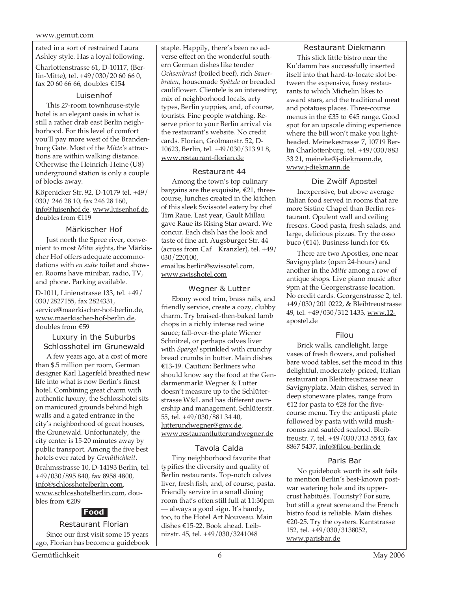rated in a sort of restrained Laura Ashley style. Has a loyal following.

Charlottenstrasse 61, D-10117, (Berlin-Mitte), tel. +49/030/20 60 66 0, fax 20 60 66 66, doubles €154

### Luisenhof

This 27-room townhouse-style hotel is an elegant oasis in what is still a rather drab east Berlin neighborhood. For this level of comfort you'll pay more west of the Brandenburg Gate. Most of the *Mitte's* attractions are within walking distance. Otherwise the Heinrich-Heine (U8) underground station is only a couple of blocks away.

Köpenicker Str. 92, D-10179 tel. +49/ 030/ 246 28 10, fax 246 28 160, info@luisenhof.de, www.luisenhof.de, doubles from €119

# Märkischer Hof

Just north the Spree river, convenient to most *Mitte* sights, the Märkischer Hof offers adequate accommodations with *en suite* toilet and shower. Rooms have minibar, radio, TV, and phone. Parking available.

D-1011, Linienstrasse 133, tel. +49/ 030/2827155, fax 2824331, service@maerkischer-hof-berlin.de, www.maerkischer-hof-berlin.de, doubles from €59

#### Luxury in the Suburbs Schlosshotel im Grunewald

A few years ago, at a cost of more than \$.5 million per room, German designer Karl Lagerfeld breathed new life into what is now Berlin's finest hotel. Combining great charm with authentic luxury, the Schlosshotel sits on manicured grounds behind high walls and a gated entrance in the city's neighborhood of great houses, the Grunewald. Unfortunately, the city center is 15-20 minutes away by public transport. Among the five best hotels ever rated by *Gemütlichkeit*. Brahmsstrasse 10, D-14193 Berlin, tel. +49/030/895 840, fax 8958 4800, info@schlosshotelberlin.com, www.schlosshotelberlin.com, dou-

bles from €209 **Food**

# Restaurant Florian

Since our first visit some 15 years ago, Florian has become a guidebook staple. Happily, there's been no adverse effect on the wonderful southern German dishes like tender *Ochsenbrust* (boiled beef), rich *Sauerbraten*, housemade *Spätzle* or breaded cauliflower. Clientele is an interesting mix of neighborhood locals, arty types, Berlin yuppies, and, of course, tourists. Fine people watching. Reserve prior to your Berlin arrival via the restaurant's website. No credit cards. Florian, Grolmanstr. 52, D-10623, Berlin, tel. +49/030/313 91 8, www.restaurant-florian.de

### Restaurant 44

Among the town's top culinary bargains are the exquisite,  $€21$ , threecourse, lunches created in the kitchen of this sleek Swissotel eatery by chef Tim Raue. Last year, Gault Millau gave Raue its Rising Star award. We concur. Each dish has the look and taste of fine art. Augsburger Str. 44 (across from Caf Kranzler), tel. +49/ 030/220100,

emailus.berlin@swissotel.com, www.swisshotel.com

# Wegner & Lutter

Ebony wood trim, brass rails, and friendly service, create a cozy, clubby charm. Try braised-then-baked lamb chops in a richly intense red wine sauce; fall-over-the-plate Wiener Schnitzel, or perhaps calves liver with *Spargel* sprinkled with crunchy bread crumbs in butter. Main dishes €13-19. Caution: Berliners who should know say the food at the Gendarmenmarkt Wegner & Lutter doesn't measure up to the Schlüterstrasse W&L and has different ownership and management. Schlüterstr. 55, tel. +49/030/881 34 40, lutterundwegner@gmx.de, www.restaurantlutterundwegner.de

# Tavola Calda

Tiny neighborhood favorite that typifies the diversity and quality of Berlin restaurants. Top-notch calves liver, fresh fish, and, of course, pasta. Friendly service in a small dining room that's often still full at 11:30pm — always a good sign. It's handy, too, to the Hotel Art Nouveau. Main dishes €15-22. Book ahead. Leibnizstr. 45, tel. +49/030/3241048

# Restaurant Diekmann

This slick little bistro near the Ku'damm has successfully inserted itself into that hard-to-locate slot between the expensive, fussy restaurants to which Michelin likes to award stars, and the traditional meat and potatoes places. Three-course menus in the €35 to €45 range. Good spot for an upscale dining experience where the bill won't make you lightheaded. Meinekestrasse 7, 10719 Berlin Charlottenburg, tel. +49/030/883 33 21, meineke@j-diekmann.de, www.j-diekmann.de

# Die Zwölf Apostel

Inexpensive, but above average Italian food served in rooms that are more Sistine Chapel than Berlin restaurant. Opulent wall and ceiling frescos. Good pasta, fresh salads, and large, delicious pizzas. Try the osso buco (€14). Business lunch for €6.

There are two Apostles, one near Savignyplatz (open 24-hours) and another in the *Mitte* among a row of antique shops. Live piano music after 9pm at the Georgenstrasse location. No credit cards. Georgenstrasse 2, tel. +49/030/201 0222, & Bleibtreustrasse 49, tel. +49/030/312 1433, www.12 apostel.de

# Filou

Brick walls, candlelight, large vases of fresh flowers, and polished bare wood tables, set the mood in this delightful, moderately-priced, Italian restaurant on Bleibtreustrasse near Savignyplatz. Main dishes, served in deep stoneware plates, range from €12 for pasta to €28 for the fivecourse menu. Try the antipasti plate followed by pasta with wild mushrooms and sautéed seafood. Bleibtreustr. 7, tel. +49/030/313 5543, fax 8867 5437, info@filou-berlin.de

# Paris Bar

No guidebook worth its salt fails to mention Berlin's best-known postwar watering hole and its uppercrust habitués. Touristy? For sure, but still a great scene and the French bistro food is reliable. Main dishes €20-25. Try the oysters. Kantstrasse 152, tel. +49/030/3138052, www.parisbar.de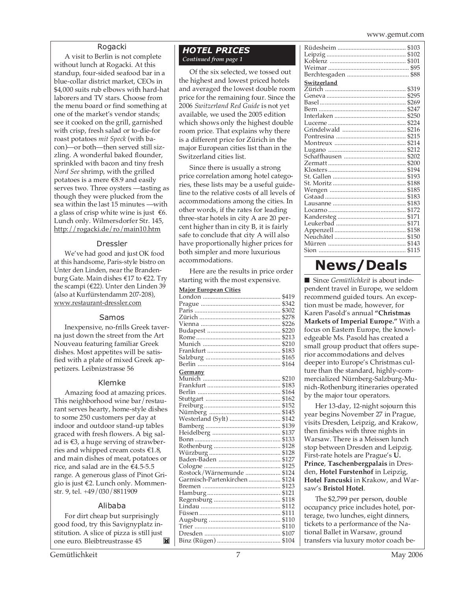www.gemut.com

#### Rogacki

A visit to Berlin is not complete without lunch at Rogacki. At this standup, four-sided seafood bar in a blue-collar district market, CEOs in \$4,000 suits rub elbows with hard-hat laborers and TV stars. Choose from the menu board or find something at one of the market's vendor stands; see it cooked on the grill, garnished with crisp, fresh salad or to-die-for roast potatoes *mit Speck* (with bacon)—or both—then served still sizzling. A wonderful baked flounder, sprinkled with bacon and tiny fresh *Nord See* shrimp, with the grilled potatoes is a mere €8.9 and easily serves two. Three oysters —tasting as though they were plucked from the sea within the last 15 minutes —with a glass of crisp white wine is just  $€6$ . Lunch only. Wilmersdorfer Str. 145, http://rogacki.de/ro/main10.htm

#### Dressler

We've had good and just OK food at this handsome, Paris-style bistro on Unter den Linden, near the Brandenburg Gate. Main dishes €17 to €22. Try the scampi (€22). Unter den Linden 39 (also at Kurfürstendamm 207-208), www.restaurant-dressler.com

#### Samos

Inexpensive, no-frills Greek taverna just down the street from the Art Nouveau featuring familiar Greek dishes. Most appetites will be satisfied with a plate of mixed Greek appetizers. Leibnizstrasse 56

#### Klemke

Amazing food at amazing prices. This neighborhood wine bar/restaurant serves hearty, home-style dishes to some 250 customers per day at indoor and outdoor stand-up tables graced with fresh flowers. A big salad is €3, a huge serving of strawberries and whipped cream costs  $€1.8$ , and main dishes of meat, potatoes or rice, and salad are in the €4.5-5.5 range. A generous glass of Pinot Grigio is just €2. Lunch only. Mommenstr. 9, tel. +49/030/8811909

#### Alibaba

For dirt cheap but surprisingly good food, try this Savignyplatz institution. A slice of pizza is still just one euro. Bleibtreustrasse 45 ľШ

#### *HOTEL PRICES Continued from page 1*

Of the six selected, we tossed out the highest and lowest priced hotels and averaged the lowest double room price for the remaining four. Since the 2006 *Switzerland Red Guide* is not yet available, we used the 2005 edition which shows only the highest double room price. That explains why there is a different price for Zürich in the major European cities list than in the Switzerland cities list.

Since there is usually a strong price correlation among hotel categories, these lists may be a useful guideline to the relative costs of all levels of accommodations among the cities. In other words, if the rates for leading three-star hotels in city A are 20 percent higher than in city B, it is fairly safe to conclude that city A will also have proportionally higher prices for both simpler and more luxurious accommodations.

Here are the results in price order starting with the most expensive.

#### **Major European Cities**

| Switzerland |       |
|-------------|-------|
|             | \$319 |
|             | \$295 |
|             | \$269 |
|             | \$247 |
|             | \$250 |
|             | \$224 |
|             | \$216 |
|             | \$215 |
|             | \$214 |
|             | \$212 |
|             | \$202 |
|             | \$200 |
|             | \$194 |
|             | \$193 |
|             | \$188 |
|             | \$185 |
|             | \$183 |
|             | \$183 |
|             | \$172 |
|             | \$171 |
|             | \$171 |
|             | \$158 |
|             | \$150 |
|             | \$143 |
|             | \$115 |
|             |       |

# **News/Deals**

■ Since *Gemütlichkeit* is about independent travel in Europe, we seldom recommend guided tours. An exception must be made, however, for Karen Pasold's annual **"Christmas Markets of Imperial Europe."** With a focus on Eastern Europe, the knowledgeable Ms. Pasold has created a small group product that offers superior accommodations and delves deeper into Europe's Christmas culture than the standard, highly-commercialized Nürnberg-Salzburg-Munich-Rothenburg itineraries operated by the major tour operators.

Her 13-day, 12-night sojourn this year begins November 27 in Prague, visits Dresden, Leipzig, and Krakow, then finishes with three nights in Warsaw. There is a Meissen lunch stop between Dresden and Leipzig. First-rate hotels are Prague's **U. Prince**, **Taschenbergpalais** in Dresden, **Hotel Furstenhof** in Leipzig, **Hotel Fancuski** in Krakow, and Warsaw's **Bristol Hotel**.

The \$2,799 per person, double occupancy price includes hotel, porterage, two lunches, eight dinners, tickets to a performance of the National Ballet in Warsaw, ground transfers via luxury motor coach be-